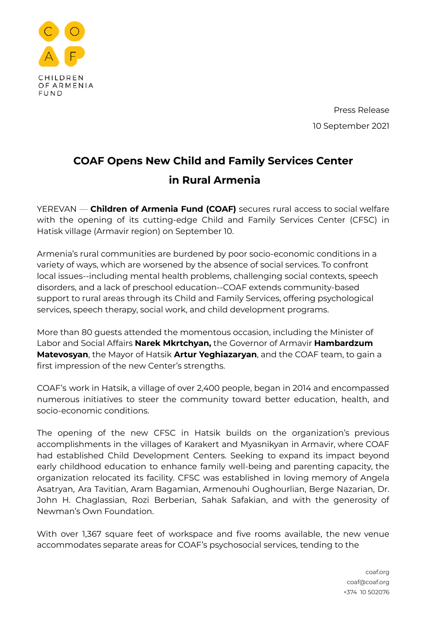

Press Release 10 September 2021

## **COAF Opens New Child and Family Services Center in Rural Armenia**

YEREVAN — **Children of Armenia Fund (COAF)** secures rural access to social welfare with the opening of its cutting-edge Child and Family Services Center (CFSC) in Hatisk village (Armavir region) on September 10.

Armenia's rural communities are burdened by poor socio-economic conditions in a variety of ways, which are worsened by the absence of social services. To confront local issues--including mental health problems, challenging social contexts, speech disorders, and a lack of preschool education--COAF extends community-based support to rural areas through its Child and Family Services, offering psychological services, speech therapy, social work, and child development programs.

More than 80 guests attended the momentous occasion, including the Minister of Labor and Social Affairs **Narek Mkrtchyan,** the Governor of Armavir **Hambardzum Matevosyan**, the Mayor of Hatsik **Artur Yeghiazaryan**, and the COAF team, to gain a first impression of the new Center's strengths.

COAF's work in Hatsik, a village of over 2,400 people, began in 2014 and encompassed numerous initiatives to steer the community toward better education, health, and socio-economic conditions.

The opening of the new CFSC in Hatsik builds on the organization's previous accomplishments in the villages of Karakert and Myasnikyan in Armavir, where COAF had established Child Development Centers. Seeking to expand its impact beyond early childhood education to enhance family well-being and parenting capacity, the organization relocated its facility. CFSC was established in loving memory of Angela Asatryan, Ara Tavitian, Aram Bagamian, Armenouhi Oughourlian, Berge Nazarian, Dr. John H. Chaglassian, Rozi Berberian, Sahak Safakian, and with the generosity of Newman's Own Foundation.

With over 1,367 square feet of workspace and five rooms available, the new venue accommodates separate areas for COAF's psychosocial services, tending to the